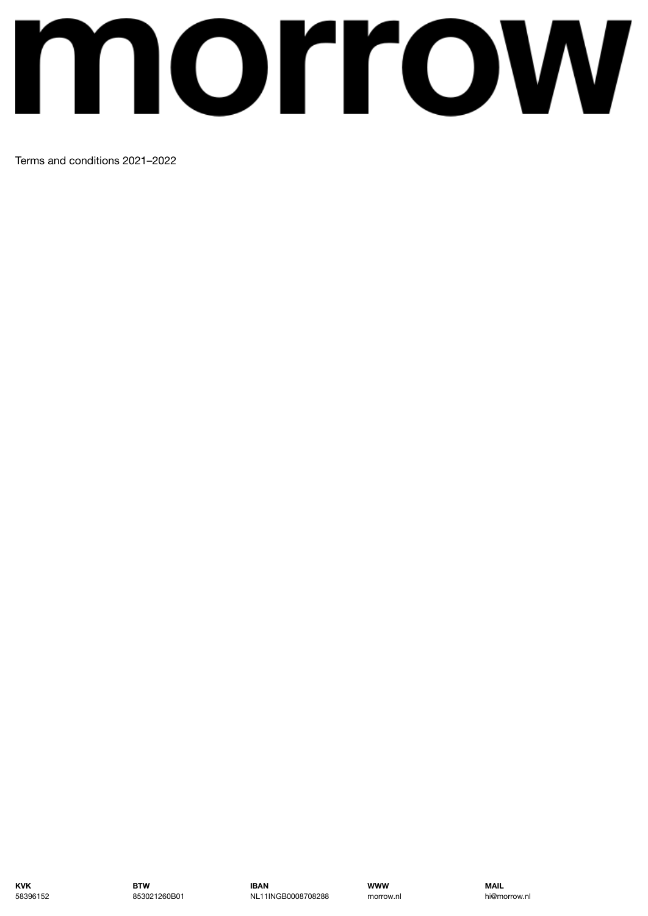# morrow

Terms and conditions 2021–2022

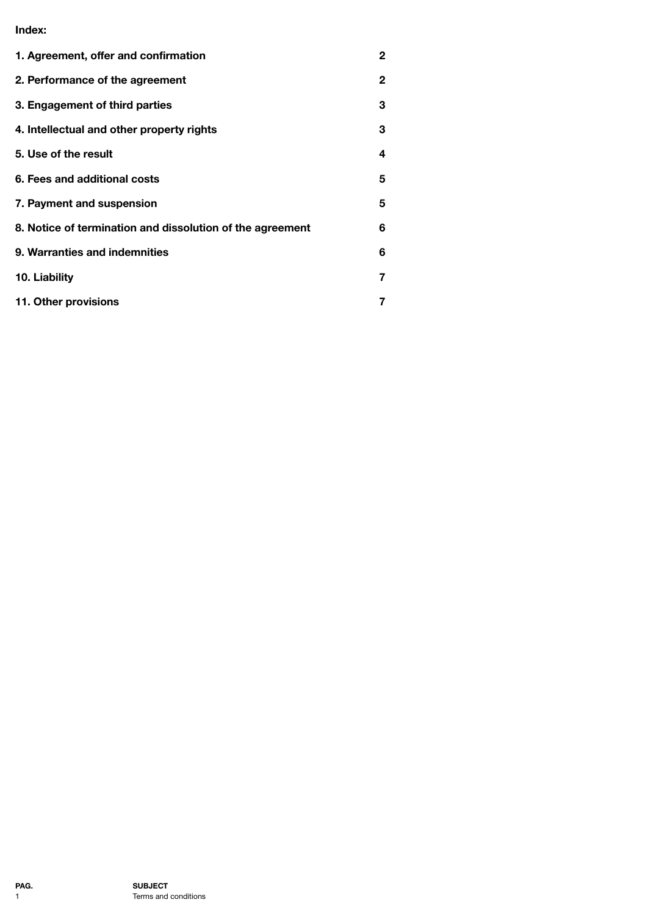**Index:**

| 1. Agreement, offer and confirmation                      | 2 |
|-----------------------------------------------------------|---|
| 2. Performance of the agreement                           | 2 |
| 3. Engagement of third parties                            | 3 |
| 4. Intellectual and other property rights                 | 3 |
| 5. Use of the result                                      | 4 |
| 6. Fees and additional costs                              | 5 |
| 7. Payment and suspension                                 | 5 |
| 8. Notice of termination and dissolution of the agreement | 6 |
| 9. Warranties and indemnities                             | 6 |
| 10. Liability                                             | 7 |
| 11. Other provisions                                      | 7 |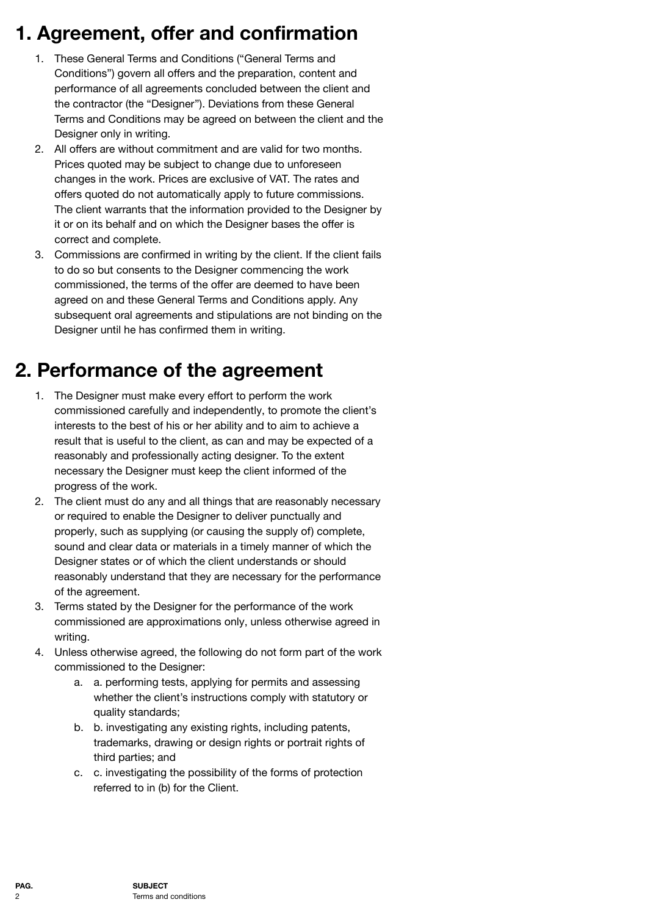# <span id="page-2-0"></span>**1. Agreement, offer and confirmation**

- 1. These General Terms and Conditions ("General Terms and Conditions") govern all offers and the preparation, content and performance of all agreements concluded between the client and the contractor (the "Designer"). Deviations from these General Terms and Conditions may be agreed on between the client and the Designer only in writing.
- 2. All offers are without commitment and are valid for two months. Prices quoted may be subject to change due to unforeseen changes in the work. Prices are exclusive of VAT. The rates and offers quoted do not automatically apply to future commissions. The client warrants that the information provided to the Designer by it or on its behalf and on which the Designer bases the offer is correct and complete.
- 3. Commissions are confirmed in writing by the client. If the client fails to do so but consents to the Designer commencing the work commissioned, the terms of the offer are deemed to have been agreed on and these General Terms and Conditions apply. Any subsequent oral agreements and stipulations are not binding on the Designer until he has confirmed them in writing.

#### <span id="page-2-1"></span>**2. Performance of the agreement**

- 1. The Designer must make every effort to perform the work commissioned carefully and independently, to promote the client's interests to the best of his or her ability and to aim to achieve a result that is useful to the client, as can and may be expected of a reasonably and professionally acting designer. To the extent necessary the Designer must keep the client informed of the progress of the work.
- 2. The client must do any and all things that are reasonably necessary or required to enable the Designer to deliver punctually and properly, such as supplying (or causing the supply of) complete, sound and clear data or materials in a timely manner of which the Designer states or of which the client understands or should reasonably understand that they are necessary for the performance of the agreement.
- 3. Terms stated by the Designer for the performance of the work commissioned are approximations only, unless otherwise agreed in writing.
- 4. Unless otherwise agreed, the following do not form part of the work commissioned to the Designer:
	- a. a. performing tests, applying for permits and assessing whether the client's instructions comply with statutory or quality standards;
	- b. b. investigating any existing rights, including patents, trademarks, drawing or design rights or portrait rights of third parties; and
	- c. c. investigating the possibility of the forms of protection referred to in (b) for the Client.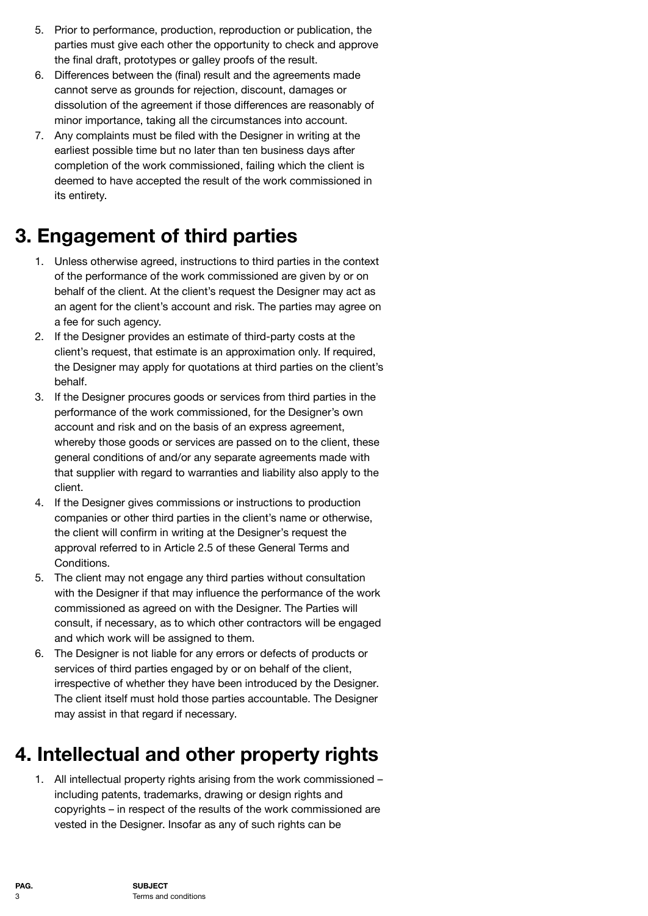- 5. Prior to performance, production, reproduction or publication, the parties must give each other the opportunity to check and approve the final draft, prototypes or galley proofs of the result.
- 6. Differences between the (final) result and the agreements made cannot serve as grounds for rejection, discount, damages or dissolution of the agreement if those differences are reasonably of minor importance, taking all the circumstances into account.
- 7. Any complaints must be filed with the Designer in writing at the earliest possible time but no later than ten business days after completion of the work commissioned, failing which the client is deemed to have accepted the result of the work commissioned in its entirety.

#### <span id="page-3-0"></span>**3. Engagement of third parties**

- 1. Unless otherwise agreed, instructions to third parties in the context of the performance of the work commissioned are given by or on behalf of the client. At the client's request the Designer may act as an agent for the client's account and risk. The parties may agree on a fee for such agency.
- 2. If the Designer provides an estimate of third-party costs at the client's request, that estimate is an approximation only. If required, the Designer may apply for quotations at third parties on the client's behalf.
- 3. If the Designer procures goods or services from third parties in the performance of the work commissioned, for the Designer's own account and risk and on the basis of an express agreement, whereby those goods or services are passed on to the client, these general conditions of and/or any separate agreements made with that supplier with regard to warranties and liability also apply to the client.
- 4. If the Designer gives commissions or instructions to production companies or other third parties in the client's name or otherwise, the client will confirm in writing at the Designer's request the approval referred to in Article 2.5 of these General Terms and Conditions.
- 5. The client may not engage any third parties without consultation with the Designer if that may influence the performance of the work commissioned as agreed on with the Designer. The Parties will consult, if necessary, as to which other contractors will be engaged and which work will be assigned to them.
- 6. The Designer is not liable for any errors or defects of products or services of third parties engaged by or on behalf of the client, irrespective of whether they have been introduced by the Designer. The client itself must hold those parties accountable. The Designer may assist in that regard if necessary.

# <span id="page-3-1"></span>**4. Intellectual and other property rights**

1. All intellectual property rights arising from the work commissioned – including patents, trademarks, drawing or design rights and copyrights – in respect of the results of the work commissioned are vested in the Designer. Insofar as any of such rights can be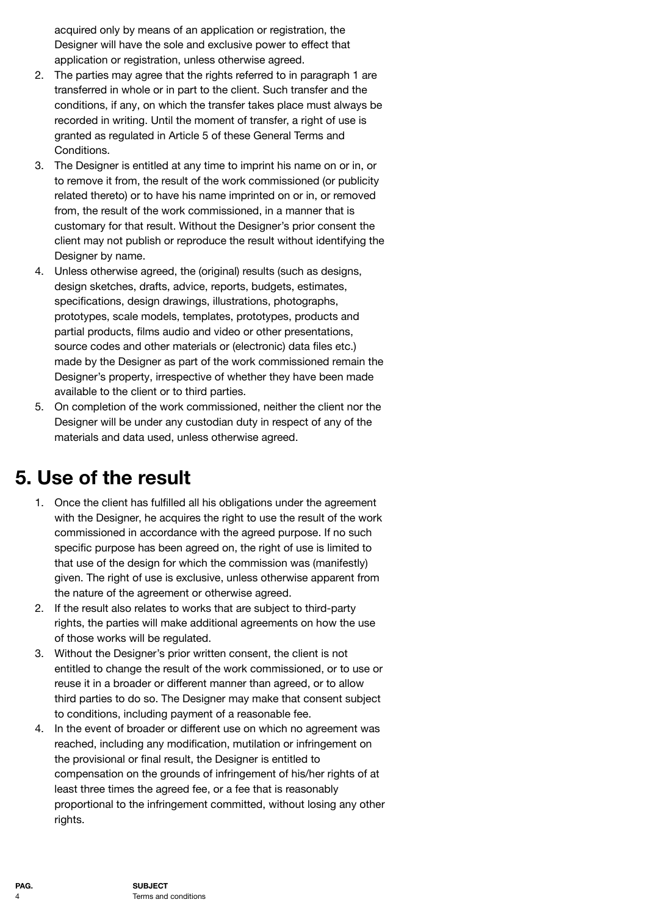acquired only by means of an application or registration, the Designer will have the sole and exclusive power to effect that application or registration, unless otherwise agreed.

- 2. The parties may agree that the rights referred to in paragraph 1 are transferred in whole or in part to the client. Such transfer and the conditions, if any, on which the transfer takes place must always be recorded in writing. Until the moment of transfer, a right of use is granted as regulated in Article 5 of these General Terms and Conditions.
- 3. The Designer is entitled at any time to imprint his name on or in, or to remove it from, the result of the work commissioned (or publicity related thereto) or to have his name imprinted on or in, or removed from, the result of the work commissioned, in a manner that is customary for that result. Without the Designer's prior consent the client may not publish or reproduce the result without identifying the Designer by name.
- 4. Unless otherwise agreed, the (original) results (such as designs, design sketches, drafts, advice, reports, budgets, estimates, specifications, design drawings, illustrations, photographs, prototypes, scale models, templates, prototypes, products and partial products, films audio and video or other presentations, source codes and other materials or (electronic) data files etc.) made by the Designer as part of the work commissioned remain the Designer's property, irrespective of whether they have been made available to the client or to third parties.
- 5. On completion of the work commissioned, neither the client nor the Designer will be under any custodian duty in respect of any of the materials and data used, unless otherwise agreed.

#### <span id="page-4-0"></span>**5. Use of the result**

- 1. Once the client has fulfilled all his obligations under the agreement with the Designer, he acquires the right to use the result of the work commissioned in accordance with the agreed purpose. If no such specific purpose has been agreed on, the right of use is limited to that use of the design for which the commission was (manifestly) given. The right of use is exclusive, unless otherwise apparent from the nature of the agreement or otherwise agreed.
- 2. If the result also relates to works that are subject to third-party rights, the parties will make additional agreements on how the use of those works will be regulated.
- 3. Without the Designer's prior written consent, the client is not entitled to change the result of the work commissioned, or to use or reuse it in a broader or different manner than agreed, or to allow third parties to do so. The Designer may make that consent subject to conditions, including payment of a reasonable fee.
- 4. In the event of broader or different use on which no agreement was reached, including any modification, mutilation or infringement on the provisional or final result, the Designer is entitled to compensation on the grounds of infringement of his/her rights of at least three times the agreed fee, or a fee that is reasonably proportional to the infringement committed, without losing any other rights.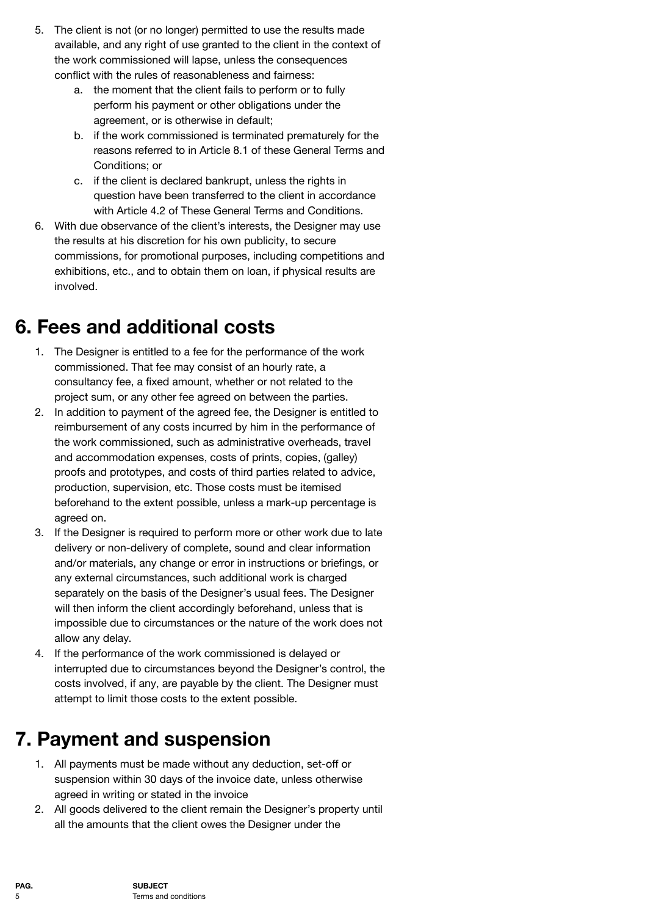- 5. The client is not (or no longer) permitted to use the results made available, and any right of use granted to the client in the context of the work commissioned will lapse, unless the consequences conflict with the rules of reasonableness and fairness:
	- a. the moment that the client fails to perform or to fully perform his payment or other obligations under the agreement, or is otherwise in default;
	- b. if the work commissioned is terminated prematurely for the reasons referred to in Article 8.1 of these General Terms and Conditions; or
	- c. if the client is declared bankrupt, unless the rights in question have been transferred to the client in accordance with Article 4.2 of These General Terms and Conditions.
- 6. With due observance of the client's interests, the Designer may use the results at his discretion for his own publicity, to secure commissions, for promotional purposes, including competitions and exhibitions, etc., and to obtain them on loan, if physical results are involved.

## <span id="page-5-0"></span>**6. Fees and additional costs**

- 1. The Designer is entitled to a fee for the performance of the work commissioned. That fee may consist of an hourly rate, a consultancy fee, a fixed amount, whether or not related to the project sum, or any other fee agreed on between the parties.
- 2. In addition to payment of the agreed fee, the Designer is entitled to reimbursement of any costs incurred by him in the performance of the work commissioned, such as administrative overheads, travel and accommodation expenses, costs of prints, copies, (galley) proofs and prototypes, and costs of third parties related to advice, production, supervision, etc. Those costs must be itemised beforehand to the extent possible, unless a mark-up percentage is agreed on.
- 3. If the Designer is required to perform more or other work due to late delivery or non-delivery of complete, sound and clear information and/or materials, any change or error in instructions or briefings, or any external circumstances, such additional work is charged separately on the basis of the Designer's usual fees. The Designer will then inform the client accordingly beforehand, unless that is impossible due to circumstances or the nature of the work does not allow any delay.
- 4. If the performance of the work commissioned is delayed or interrupted due to circumstances beyond the Designer's control, the costs involved, if any, are payable by the client. The Designer must attempt to limit those costs to the extent possible.

## <span id="page-5-1"></span>**7. Payment and suspension**

- 1. All payments must be made without any deduction, set-off or suspension within 30 days of the invoice date, unless otherwise agreed in writing or stated in the invoice
- 2. All goods delivered to the client remain the Designer's property until all the amounts that the client owes the Designer under the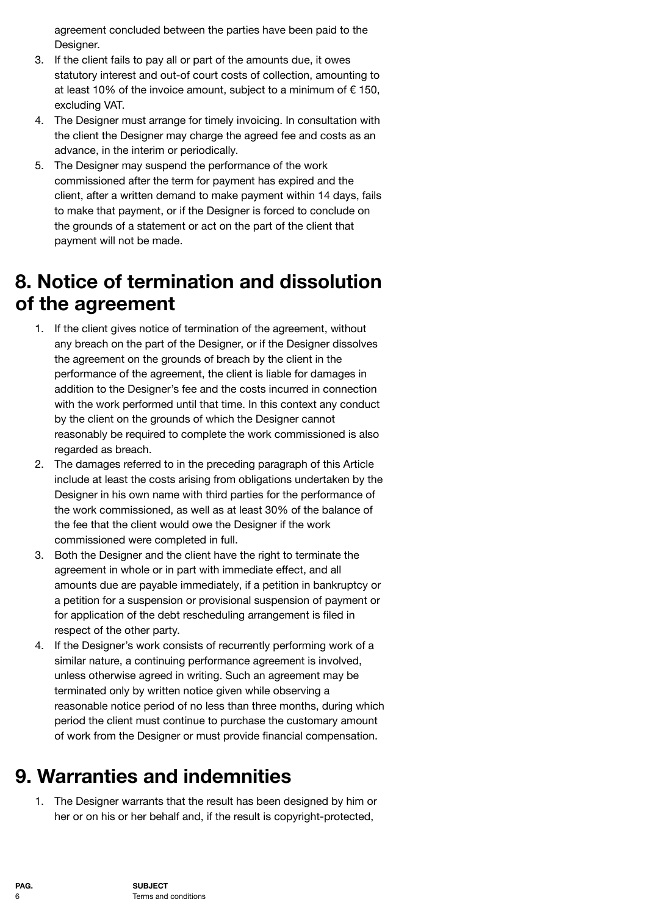agreement concluded between the parties have been paid to the Designer.

- 3. If the client fails to pay all or part of the amounts due, it owes statutory interest and out-of court costs of collection, amounting to at least 10% of the invoice amount, subject to a minimum of  $\epsilon$  150. excluding VAT.
- 4. The Designer must arrange for timely invoicing. In consultation with the client the Designer may charge the agreed fee and costs as an advance, in the interim or periodically.
- 5. The Designer may suspend the performance of the work commissioned after the term for payment has expired and the client, after a written demand to make payment within 14 days, fails to make that payment, or if the Designer is forced to conclude on the grounds of a statement or act on the part of the client that payment will not be made.

## <span id="page-6-0"></span>**8. Notice of termination and dissolution of the agreement**

- 1. If the client gives notice of termination of the agreement, without any breach on the part of the Designer, or if the Designer dissolves the agreement on the grounds of breach by the client in the performance of the agreement, the client is liable for damages in addition to the Designer's fee and the costs incurred in connection with the work performed until that time. In this context any conduct by the client on the grounds of which the Designer cannot reasonably be required to complete the work commissioned is also regarded as breach.
- 2. The damages referred to in the preceding paragraph of this Article include at least the costs arising from obligations undertaken by the Designer in his own name with third parties for the performance of the work commissioned, as well as at least 30% of the balance of the fee that the client would owe the Designer if the work commissioned were completed in full.
- 3. Both the Designer and the client have the right to terminate the agreement in whole or in part with immediate effect, and all amounts due are payable immediately, if a petition in bankruptcy or a petition for a suspension or provisional suspension of payment or for application of the debt rescheduling arrangement is filed in respect of the other party.
- 4. If the Designer's work consists of recurrently performing work of a similar nature, a continuing performance agreement is involved, unless otherwise agreed in writing. Such an agreement may be terminated only by written notice given while observing a reasonable notice period of no less than three months, during which period the client must continue to purchase the customary amount of work from the Designer or must provide financial compensation.

# <span id="page-6-1"></span>**9. Warranties and indemnities**

1. The Designer warrants that the result has been designed by him or her or on his or her behalf and, if the result is copyright-protected,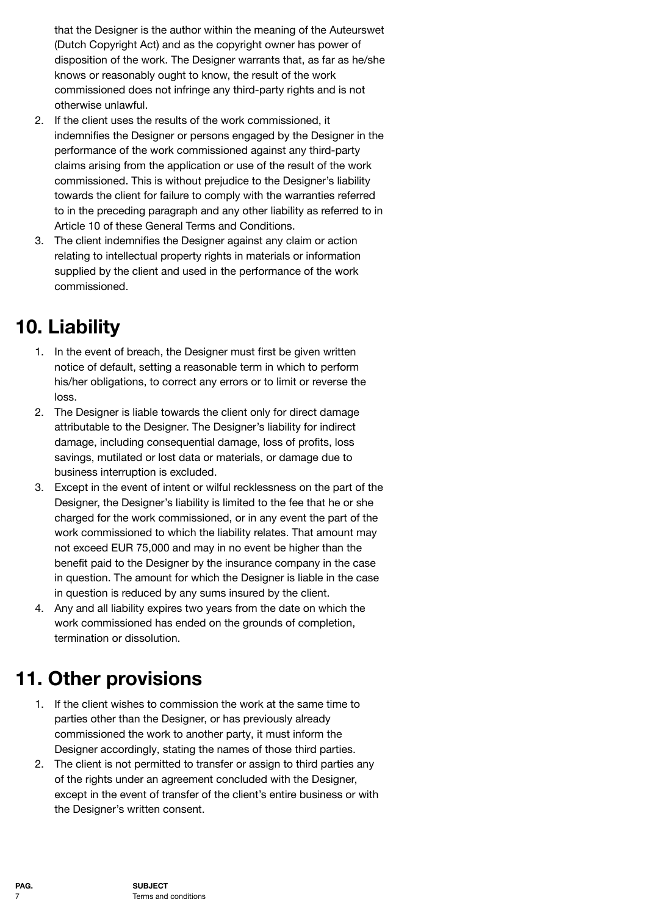that the Designer is the author within the meaning of the Auteurswet (Dutch Copyright Act) and as the copyright owner has power of disposition of the work. The Designer warrants that, as far as he/she knows or reasonably ought to know, the result of the work commissioned does not infringe any third-party rights and is not otherwise unlawful.

- 2. If the client uses the results of the work commissioned, it indemnifies the Designer or persons engaged by the Designer in the performance of the work commissioned against any third-party claims arising from the application or use of the result of the work commissioned. This is without prejudice to the Designer's liability towards the client for failure to comply with the warranties referred to in the preceding paragraph and any other liability as referred to in Article 10 of these General Terms and Conditions.
- 3. The client indemnifies the Designer against any claim or action relating to intellectual property rights in materials or information supplied by the client and used in the performance of the work commissioned.

# <span id="page-7-0"></span>**10. Liability**

- 1. In the event of breach, the Designer must first be given written notice of default, setting a reasonable term in which to perform his/her obligations, to correct any errors or to limit or reverse the loss.
- 2. The Designer is liable towards the client only for direct damage attributable to the Designer. The Designer's liability for indirect damage, including consequential damage, loss of profits, loss savings, mutilated or lost data or materials, or damage due to business interruption is excluded.
- 3. Except in the event of intent or wilful recklessness on the part of the Designer, the Designer's liability is limited to the fee that he or she charged for the work commissioned, or in any event the part of the work commissioned to which the liability relates. That amount may not exceed EUR 75,000 and may in no event be higher than the benefit paid to the Designer by the insurance company in the case in question. The amount for which the Designer is liable in the case in question is reduced by any sums insured by the client.
- 4. Any and all liability expires two years from the date on which the work commissioned has ended on the grounds of completion, termination or dissolution.

## <span id="page-7-1"></span>**11. Other provisions**

- 1. If the client wishes to commission the work at the same time to parties other than the Designer, or has previously already commissioned the work to another party, it must inform the Designer accordingly, stating the names of those third parties.
- 2. The client is not permitted to transfer or assign to third parties any of the rights under an agreement concluded with the Designer, except in the event of transfer of the client's entire business or with the Designer's written consent.